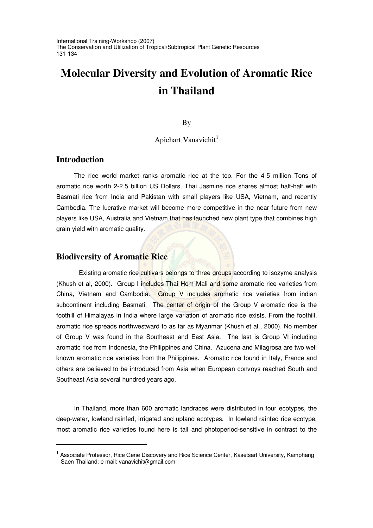International Training-Workshop (2007) The Conservation and Utilization of Tropical/Subtropical Plant Genetic Resources 131-134

# **Molecular Diversity and Evolution of Aromatic Rice in Thailand**

#### By

# Apichart Vanavichit<sup>1</sup>

### **Introduction**

The rice world market ranks aromatic rice at the top. For the 4-5 million Tons of aromatic rice worth 2-2.5 billion US Dollars, Thai Jasmine rice shares almost half-half with Basmati rice from India and Pakistan with small players like USA, Vietnam, and recently Cambodia. The lucrative market will become more competitive in the near future from new players like USA, Australia and Vietnam that has launched new plant type that combines high grain yield with aromatic quality.

#### **Biodiversity of Aromatic Rice**

<u> 1989 - Johann Barbara, martxa a</u>

Existing aromatic rice cultivars belongs to three groups according to isozyme analysis (Khush et al, 2000). Group I includes Thai Hom Mali and some aromatic rice varieties from China, Vietnam and Cambodia. Group V includes aromatic rice varieties from indian subcontinent including Basmati. The center of origin of the Group V aromatic rice is the foothill of Himalayas in India where large variation of aromatic rice exists. From the foothill, aromatic rice spreads northwestward to as far as Myanmar (Khush et al., 2000). No member of Group V was found in the Southeast and East Asia. The last is Group VI including aromatic rice from Indonesia, the Philippines and China. Azucena and Milagrosa are two well known aromatic rice varieties from the Philippines. Aromatic rice found in Italy, France and others are believed to be introduced from Asia when European convoys reached South and Southeast Asia several hundred years ago.

In Thailand, more than 600 aromatic landraces were distributed in four ecotypes, the deep-water, lowland rainfed, irrigated and upland ecotypes. In lowland rainfed rice ecotype, most aromatic rice varieties found here is tall and photoperiod-sensitive in contrast to the

<sup>&</sup>lt;sup>1</sup> Associate Professor, Rice Gene Discovery and Rice Science Center, Kasetsart University, Kamphang Saen Thailand; e-mail: vanavichit@gmail.com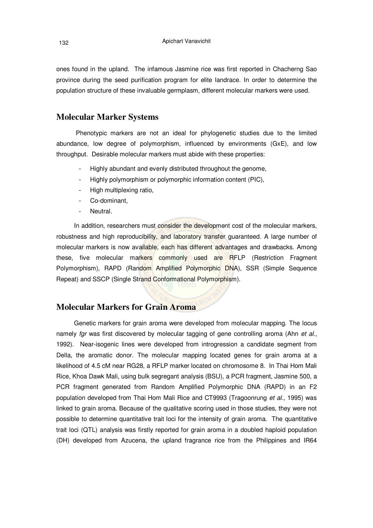132 Apichart Vanavichit

ones found in the upland. The infamous Jasmine rice was first reported in Chacherng Sao province during the seed purification program for elite landrace. In order to determine the population structure of these invaluable germplasm, different molecular markers were used.

#### **Molecular Marker Systems**

Phenotypic markers are not an ideal for phylogenetic studies due to the limited abundance, low degree of polymorphism, influenced by environments (GxE), and low throughput. Desirable molecular markers must abide with these properties:

- -Highly abundant and evenly distributed throughout the genome,
- -Highly polymorphism or polymorphic information content (PIC),
- -High multiplexing ratio,
- -Co-dominant,
- -Neutral.

In addition, researchers must consider the development cost of the molecular markers, robustness and high reproducibility, and laboratory transfer guaranteed. A large number of molecular markers is now available, each has different advantages and drawbacks. Among these, five molecular markers commonly used are RFLP (Restriction Fragment Polymorphism), RAPD (Random Amplified Polymorphic DNA), SSR (Simple Sequence Repeat) and SSCP (Single Strand Conformational Polymorphism).

### **Molecular Markers for Grain Aroma**

Genetic markers for grain aroma were developed from molecular mapping. The locus namely *fgr* was first discovered by molecular tagging of gene controlling aroma (Ahn *et al*., 1992). Near-isogenic lines were developed from introgression a candidate segment from Della, the aromatic donor. The molecular mapping located genes for grain aroma at a likelihood of 4.5 cM near RG28, a RFLP marker located on chromosome 8. In Thai Hom Mali Rice, Khoa Dawk Mali, using bulk segregant analysis (BSU), a PCR fragment, Jasmine 500, a PCR fragment generated from Random Amplified Polymorphic DNA (RAPD) in an F2 population developed from Thai Hom Mali Rice and CT9993 (Tragoonrung *et al.*, 1995) was linked to grain aroma. Because of the qualitative scoring used in those studies, they were not possible to determine quantitative trait loci for the intensity of grain aroma. The quantitative trait loci (QTL) analysis was firstly reported for grain aroma in a doubled haploid population (DH) developed from Azucena, the upland fragrance rice from the Philippines and IR64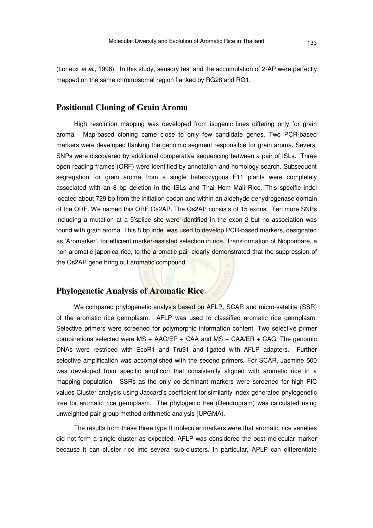(Lorieux *et al*., 1996). In this study, sensory test and the accumulation of 2-AP were perfectly mapped on the same chromosomal region flanked by RG28 and RG1.

# **Positional Cloning of Grain Aroma**

High resolution mapping was developed from isogenic lines differing only for grain aroma. Map-based cloning came close to only few candidate genes. Two PCR-based markers were developed flanking the genomic segment responsible for grain aroma. Several SNPs were discovered by additional comparative sequencing between a pair of ISLs. Three open reading frames (ORF) were identified by annotation and homology search. Subsequent segregation for grain aroma from a single heterozygous F11 plants were completely associated with an 8 bp deletion in the ISLs and Thai Hom Mali Rice. This specific indel located about 729 bp from the initiation codon and within an aldehyde dehydrogenase domain of the ORF. We named this ORF Os2AP. The Os2AP consists of 15 exons. Ten more SNPs including a mutation at a 5'splice site were identified in the exon 2 but no association was found with grain aroma. This 8 bp indel was used to develop PCR-based markers, designated as 'Aromarker', for efficient marker-assisted selection in rice. Transformation of Nipponbare, a non-aromatic japonica rice, to the aromatic pair clearly demonstrated that the suppression of the Os2AP gene bring out aromatic compound.

#### **Phylogenetic Analysis of Aromatic Rice**

We compared phylogenetic analysis based on AFLP, SCAR and micro-satellite (SSR) of the aromatic rice germplasm. AFLP was used to classified aromatic rice germplasm. Selective primers were screened for polymorphic information content. Two selective primer combinations selected were  $MS + AAC/ER + CAA$  and  $MS + CAA/ER + CAG$ . The genomic DNAs were restriced with EcoR1 and Tru91 and ligated with AFLP adapters. Further selective amplification was accomplished with the second primers. For SCAR, Jasmine 500 was developed from specific amplicon that consistently aligned with aromatic rice in a mapping population. SSRs as the only co-dominant markers were screened for high PIC values Cluster analysis using Jaccard's coefficient for similarity index generated phylogenetic tree for aromatic rice germplasm. The phylogenic tree (Dendrogram) was calculated using unweighted pair-group method arithmetic analysis (UPGMA).

The results from these three type II molecular markers were that aromatic rice varieties did not form a single cluster as expected. AFLP was considered the best molecular marker because it can cluster rice into several sub-clusters. In particular, APLP can differentiate